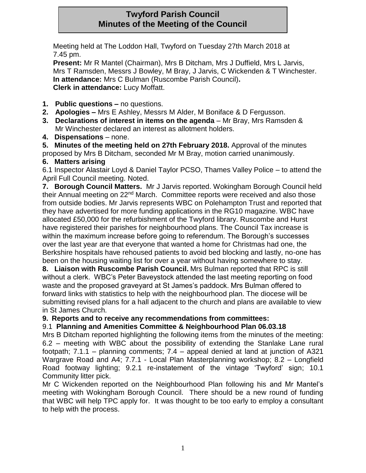# **Twyford Parish Council Minutes of the Meeting of the Council**

Meeting held at The Loddon Hall, Twyford on Tuesday 27th March 2018 at 7.45 pm.

**Present:** Mr R Mantel (Chairman), Mrs B Ditcham, Mrs J Duffield, Mrs L Jarvis, Mrs T Ramsden, Messrs J Bowley, M Bray, J Jarvis, C Wickenden & T Winchester. **In attendance:** Mrs C Bulman (Ruscombe Parish Council)**. Clerk in attendance:** Lucy Moffatt.

- **1. Public questions –** no questions.
- **2. Apologies –** Mrs E Ashley, Messrs M Alder, M Boniface & D Fergusson.
- **3. Declarations of interest in items on the agenda** Mr Bray, Mrs Ramsden & Mr Winchester declared an interest as allotment holders.
- **4. Dispensations** none.

**5. Minutes of the meeting held on 27th February 2018.** Approval of the minutes proposed by Mrs B Ditcham, seconded Mr M Bray, motion carried unanimously.

### **6. Matters arising**

6.1 Inspector Alastair Loyd & Daniel Taylor PCSO, Thames Valley Police – to attend the April Full Council meeting. Noted.

**7. Borough Council Matters.** Mr J Jarvis reported. Wokingham Borough Council held their Annual meeting on 22nd March. Committee reports were received and also those from outside bodies. Mr Jarvis represents WBC on Polehampton Trust and reported that they have advertised for more funding applications in the RG10 magazine. WBC have allocated £50,000 for the refurbishment of the Twyford library. Ruscombe and Hurst have registered their parishes for neighbourhood plans. The Council Tax increase is within the maximum increase before going to referendum. The Borough's successes over the last year are that everyone that wanted a home for Christmas had one, the Berkshire hospitals have rehoused patients to avoid bed blocking and lastly, no-one has been on the housing waiting list for over a year without having somewhere to stay.

**8. Liaison with Ruscombe Parish Council.** Mrs Bulman reported that RPC is still without a clerk. WBC's Peter Baveystock attended the last meeting reporting on food waste and the proposed graveyard at St James's paddock. Mrs Bulman offered to forward links with statistics to help with the neighbourhood plan. The diocese will be submitting revised plans for a hall adjacent to the church and plans are available to view in St James Church.

### **9. Reports and to receive any recommendations from committees:**

### 9.1 **Planning and Amenities Committee & Neighbourhood Plan 06.03.18**

Mrs B Ditcham reported highlighting the following items from the minutes of the meeting: 6.2 – meeting with WBC about the possibility of extending the Stanlake Lane rural footpath; 7.1.1 – planning comments; 7.4 – appeal denied at land at junction of A321 Wargrave Road and A4; 7.7.1 - Local Plan Masterplanning workshop; 8.2 – Longfield Road footway lighting; 9.2.1 re-instatement of the vintage 'Twyford' sign; 10.1 Community litter pick.

Mr C Wickenden reported on the Neighbourhood Plan following his and Mr Mantel's meeting with Wokingham Borough Council. There should be a new round of funding that WBC will help TPC apply for. It was thought to be too early to employ a consultant to help with the process.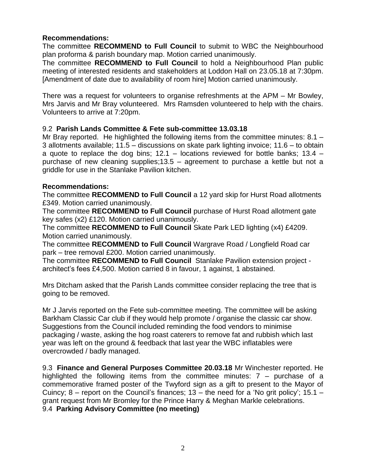#### **Recommendations:**

The committee **RECOMMEND to Full Council** to submit to WBC the Neighbourhood plan proforma & parish boundary map. Motion carried unanimously.

The committee **RECOMMEND to Full Council** to hold a Neighbourhood Plan public meeting of interested residents and stakeholders at Loddon Hall on 23.05.18 at 7:30pm. [Amendment of date due to availability of room hire] Motion carried unanimously.

There was a request for volunteers to organise refreshments at the APM – Mr Bowley, Mrs Jarvis and Mr Bray volunteered. Mrs Ramsden volunteered to help with the chairs. Volunteers to arrive at 7:20pm.

#### 9.2 **Parish Lands Committee & Fete sub-committee 13.03.18**

Mr Bray reported. He highlighted the following items from the committee minutes: 8.1 – 3 allotments available; 11.5 – discussions on skate park lighting invoice; 11.6 – to obtain a quote to replace the dog bins;  $12.1 -$  locations reviewed for bottle banks;  $13.4$ purchase of new cleaning supplies;13.5 – agreement to purchase a kettle but not a griddle for use in the Stanlake Pavilion kitchen.

#### **Recommendations:**

The committee **RECOMMEND to Full Council** a 12 yard skip for Hurst Road allotments £349. Motion carried unanimously.

The committee **RECOMMEND to Full Council** purchase of Hurst Road allotment gate key safes (x2) £120. Motion carried unanimously.

The committee **RECOMMEND to Full Council** Skate Park LED lighting (x4) £4209. Motion carried unanimously.

The committee **RECOMMEND to Full Council** Wargrave Road / Longfield Road car park – tree removal £200. Motion carried unanimously.

The committee **RECOMMEND to Full Council** Stanlake Pavilion extension project architect's fees £4,500. Motion carried 8 in favour, 1 against, 1 abstained.

Mrs Ditcham asked that the Parish Lands committee consider replacing the tree that is going to be removed.

Mr J Jarvis reported on the Fete sub-committee meeting. The committee will be asking Barkham Classic Car club if they would help promote / organise the classic car show. Suggestions from the Council included reminding the food vendors to minimise packaging / waste, asking the hog roast caterers to remove fat and rubbish which last year was left on the ground & feedback that last year the WBC inflatables were overcrowded / badly managed.

9.3 **Finance and General Purposes Committee 20.03.18** Mr Winchester reported. He highlighted the following items from the committee minutes:  $7 -$  purchase of a commemorative framed poster of the Twyford sign as a gift to present to the Mayor of Cuincy:  $8$  – report on the Council's finances;  $13$  – the need for a 'No grit policy';  $15.1$  – grant request from Mr Bromley for the Prince Harry & Meghan Markle celebrations. 9.4 **Parking Advisory Committee (no meeting)**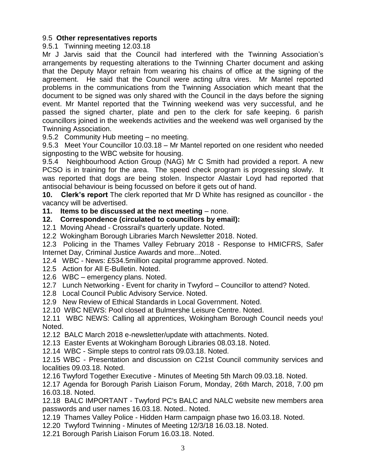#### 9.5 **Other representatives reports**

9.5.1 Twinning meeting 12.03.18

Mr J Jarvis said that the Council had interfered with the Twinning Association's arrangements by requesting alterations to the Twinning Charter document and asking that the Deputy Mayor refrain from wearing his chains of office at the signing of the agreement. He said that the Council were acting ultra vires. Mr Mantel reported problems in the communications from the Twinning Association which meant that the document to be signed was only shared with the Council in the days before the signing event. Mr Mantel reported that the Twinning weekend was very successful, and he passed the signed charter, plate and pen to the clerk for safe keeping. 6 parish councillors joined in the weekends activities and the weekend was well organised by the Twinning Association.

9.5.2 Community Hub meeting – no meeting.

9.5.3 Meet Your Councillor 10.03.18 – Mr Mantel reported on one resident who needed signposting to the WBC website for housing.

9.5.4 Neighbourhood Action Group (NAG) Mr C Smith had provided a report. A new PCSO is in training for the area. The speed check program is progressing slowly. It was reported that dogs are being stolen. Inspector Alastair Loyd had reported that antisocial behaviour is being focussed on before it gets out of hand.

**10. Clerk's report** The clerk reported that Mr D White has resigned as councillor - the vacancy will be advertised.

#### **11. Items to be discussed at the next meeting** – none.

#### **12. Correspondence (circulated to councillors by email):**

12.1 Moving Ahead - Crossrail's quarterly update. Noted.

12.2 Wokingham Borough Libraries March Newsletter 2018. Noted.

12.3 Policing in the Thames Valley February 2018 - Response to HMICFRS, Safer Internet Day, Criminal Justice Awards and more...Noted.

12.4 WBC - News: £534.5million capital programme approved. Noted.

- 12.5 Action for All E-Bulletin. Noted.
- 12.6 WBC emergency plans. Noted.
- 12.7 Lunch Networking Event for charity in Twyford Councillor to attend? Noted.
- 12.8 Local Council Public Advisory Service. Noted.

12.9 New Review of Ethical Standards in Local Government. Noted.

12.10 WBC NEWS: Pool closed at Bulmershe Leisure Centre. Noted.

12.11 WBC NEWS: Calling all apprentices, Wokingham Borough Council needs you! Noted.

12.12 BALC March 2018 e-newsletter/update with attachments. Noted.

12.13 Easter Events at Wokingham Borough Libraries 08.03.18. Noted.

12.14 WBC - Simple steps to control rats 09.03.18. Noted.

12.15 WBC - Presentation and discussion on C21st Council community services and localities 09.03.18. Noted.

12.16 Twyford Together Executive - Minutes of Meeting 5th March 09.03.18. Noted.

12.17 Agenda for Borough Parish Liaison Forum, Monday, 26th March, 2018, 7.00 pm 16.03.18. Noted.

12.18 BALC IMPORTANT - Twyford PC's BALC and NALC website new members area passwords and user names 16.03.18. Noted.. Noted.

12.19 Thames Valley Police - Hidden Harm campaign phase two 16.03.18. Noted.

12.20 Twyford Twinning - Minutes of Meeting 12/3/18 16.03.18. Noted.

12.21 Borough Parish Liaison Forum 16.03.18. Noted.